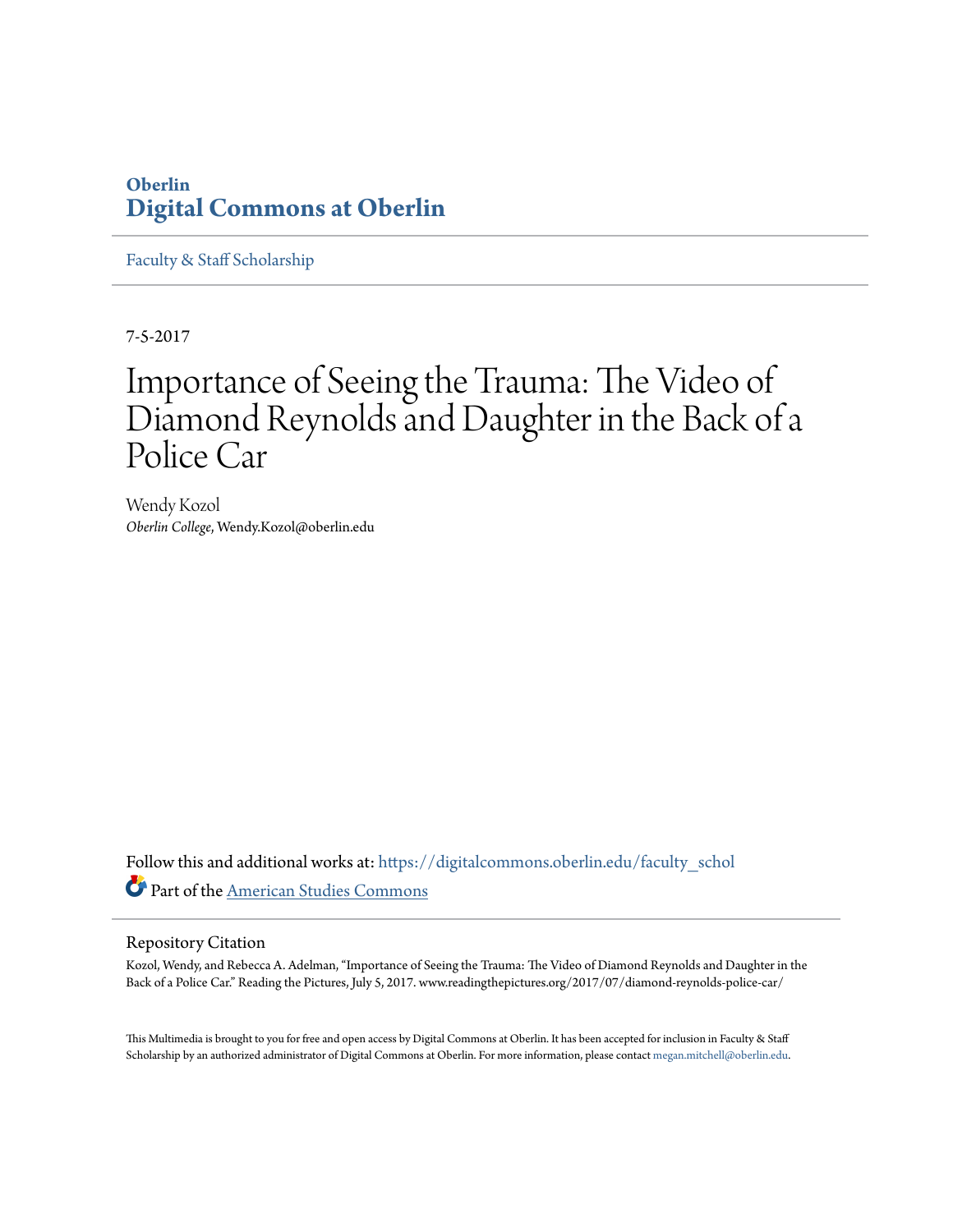## **Oberlin [Digital Commons at Oberlin](https://digitalcommons.oberlin.edu?utm_source=digitalcommons.oberlin.edu%2Ffaculty_schol%2F3858&utm_medium=PDF&utm_campaign=PDFCoverPages)**

[Faculty & Staff Scholarship](https://digitalcommons.oberlin.edu/faculty_schol?utm_source=digitalcommons.oberlin.edu%2Ffaculty_schol%2F3858&utm_medium=PDF&utm_campaign=PDFCoverPages)

7-5-2017

## Importance of Seeing the Trauma: The Video of Diamond Reynolds and Daughter in the Back of a Police Car

Wendy Kozol *Oberlin College*, Wendy.Kozol@oberlin.edu

Follow this and additional works at: [https://digitalcommons.oberlin.edu/faculty\\_schol](https://digitalcommons.oberlin.edu/faculty_schol?utm_source=digitalcommons.oberlin.edu%2Ffaculty_schol%2F3858&utm_medium=PDF&utm_campaign=PDFCoverPages) Part of the [American Studies Commons](http://network.bepress.com/hgg/discipline/439?utm_source=digitalcommons.oberlin.edu%2Ffaculty_schol%2F3858&utm_medium=PDF&utm_campaign=PDFCoverPages)

#### Repository Citation

Kozol, Wendy, and Rebecca A. Adelman, "Importance of Seeing the Trauma: The Video of Diamond Reynolds and Daughter in the Back of a Police Car." Reading the Pictures, July 5, 2017. www.readingthepictures.org/2017/07/diamond-reynolds-police-car/

This Multimedia is brought to you for free and open access by Digital Commons at Oberlin. It has been accepted for inclusion in Faculty & Staff Scholarship by an authorized administrator of Digital Commons at Oberlin. For more information, please contact [megan.mitchell@oberlin.edu.](mailto:megan.mitchell@oberlin.edu)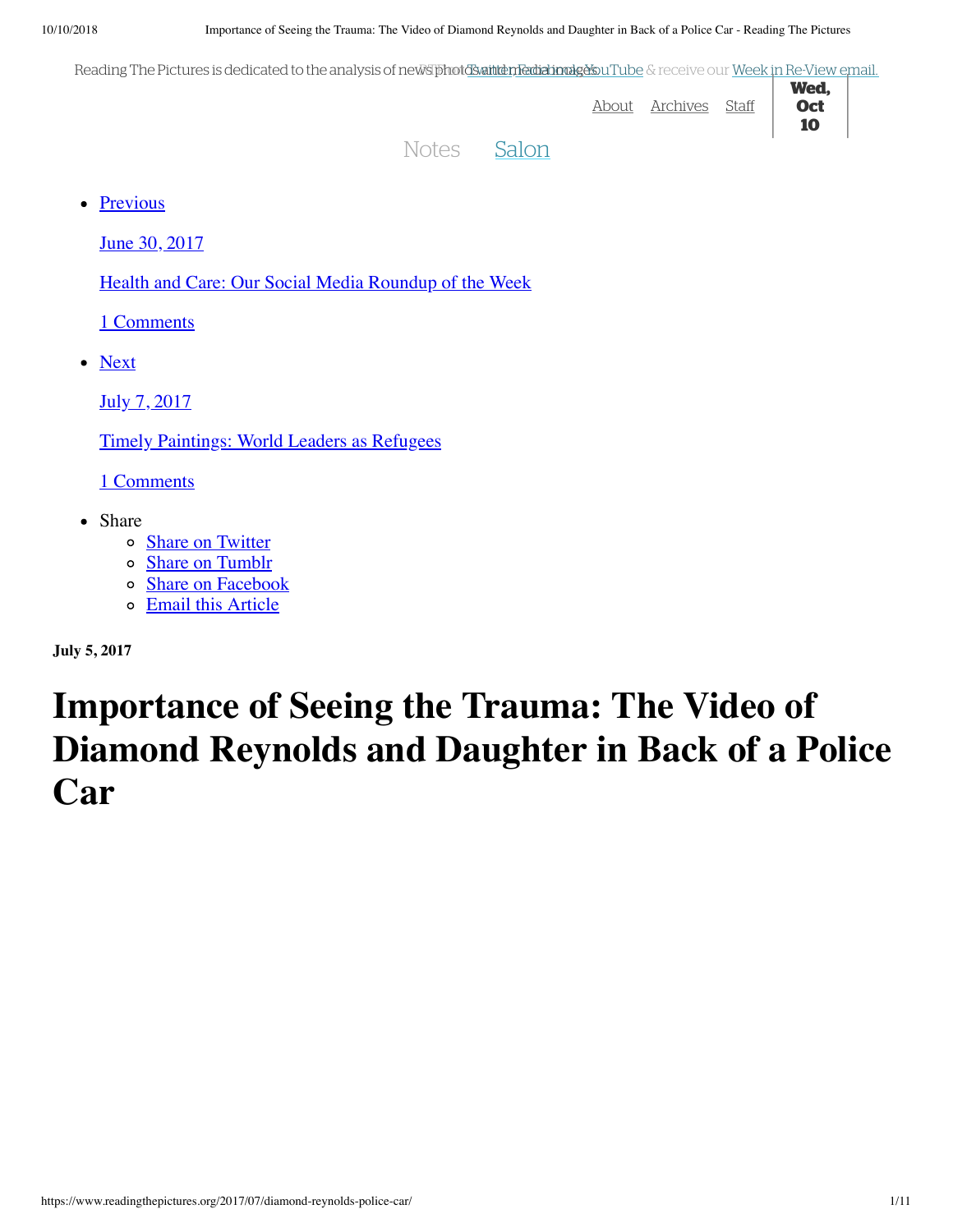Reading The Pictures is dedicated to the analysis of newsTphotdSwaintten Fedizionalg&suTube & receive our Week in Re-View email.

| 115 THET ICIDICO ID GEGICULCU ID GILGIJO OD DI IIC MU PIRALDO GILGIGIJO GALDO DI LODE OLI COLI VICENTITIC VIEW GILGII |       |            |       |                          |  |
|-----------------------------------------------------------------------------------------------------------------------|-------|------------|-------|--------------------------|--|
|                                                                                                                       | About | . Archives | Staff | Wed,<br><b>Oct</b><br>10 |  |
| Notes Salon                                                                                                           |       |            |       |                          |  |

• Previous

June 30, 2017

Health and Care: Our Social Media Roundup of the Week

1 Comments

• Next

July 7, 2017

Timely Paintings: World Leaders as Refugees

1 Comments

- Share
	- o Share on Twitter
	- o Share on Tumblr
	- o Share on Facebook
	- Email this Article

**July 5, 2017**

# **Importance of Seeing the Trauma: The Video of Diamond Reynolds and Daughter in Back of a Police Car**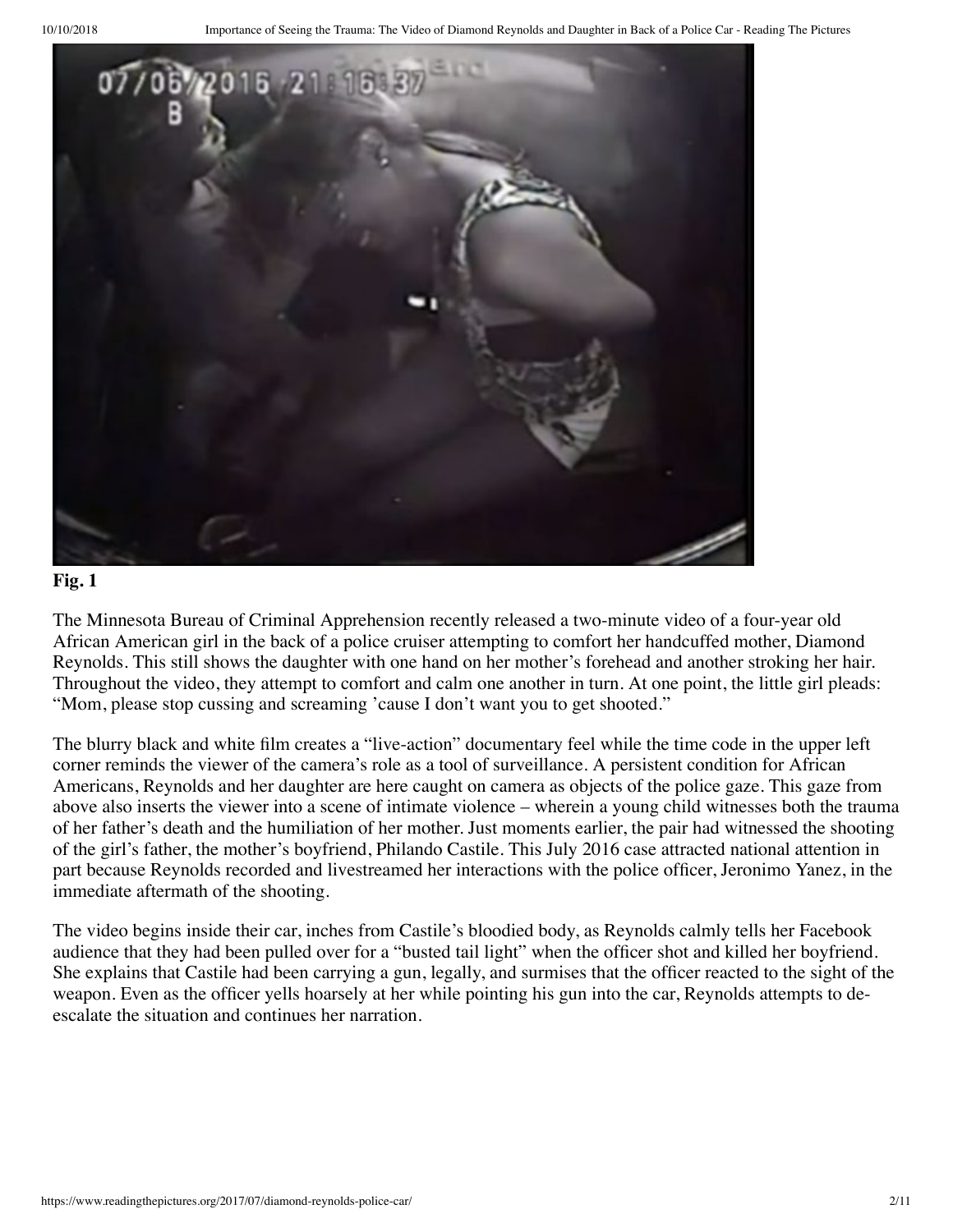

The Minnesota Bureau of Criminal Apprehension recently released a two-minute video of a four-year old African American girl in the back of a police cruiser attempting to comfort her handcuffed mother, Diamond Reynolds. This still shows the daughter with one hand on her mother's forehead and another stroking her hair. Throughout the video, they attempt to comfort and calm one another in turn. At one point, the little girl pleads: "Mom, please stop cussing and screaming 'cause I don't want you to get shooted."

The blurry black and white film creates a "live-action" documentary feel while the time code in the upper left corner reminds the viewer of the camera's role as a tool of surveillance. A persistent condition for African Americans, Reynolds and her daughter are here caught on camera as objects of the police gaze. This gaze from above also inserts the viewer into a scene of intimate violence – wherein a young child witnesses both the trauma of her father's death and the humiliation of her mother. Just moments earlier, the pair had witnessed the shooting of the girl's father, the mother's boyfriend, Philando Castile. This July 2016 case attracted national attention in part because Reynolds recorded and livestreamed her interactions with the police officer, Jeronimo Yanez, in the immediate aftermath of the shooting.

The video begins inside their car, inches from Castile's bloodied body, as Reynolds calmly tells her Facebook audience that they had been pulled over for a "busted tail light" when the officer shot and killed her boyfriend. She explains that Castile had been carrying a gun, legally, and surmises that the officer reacted to the sight of the weapon. Even as the officer yells hoarsely at her while pointing his gun into the car, Reynolds attempts to deescalate the situation and continues her narration.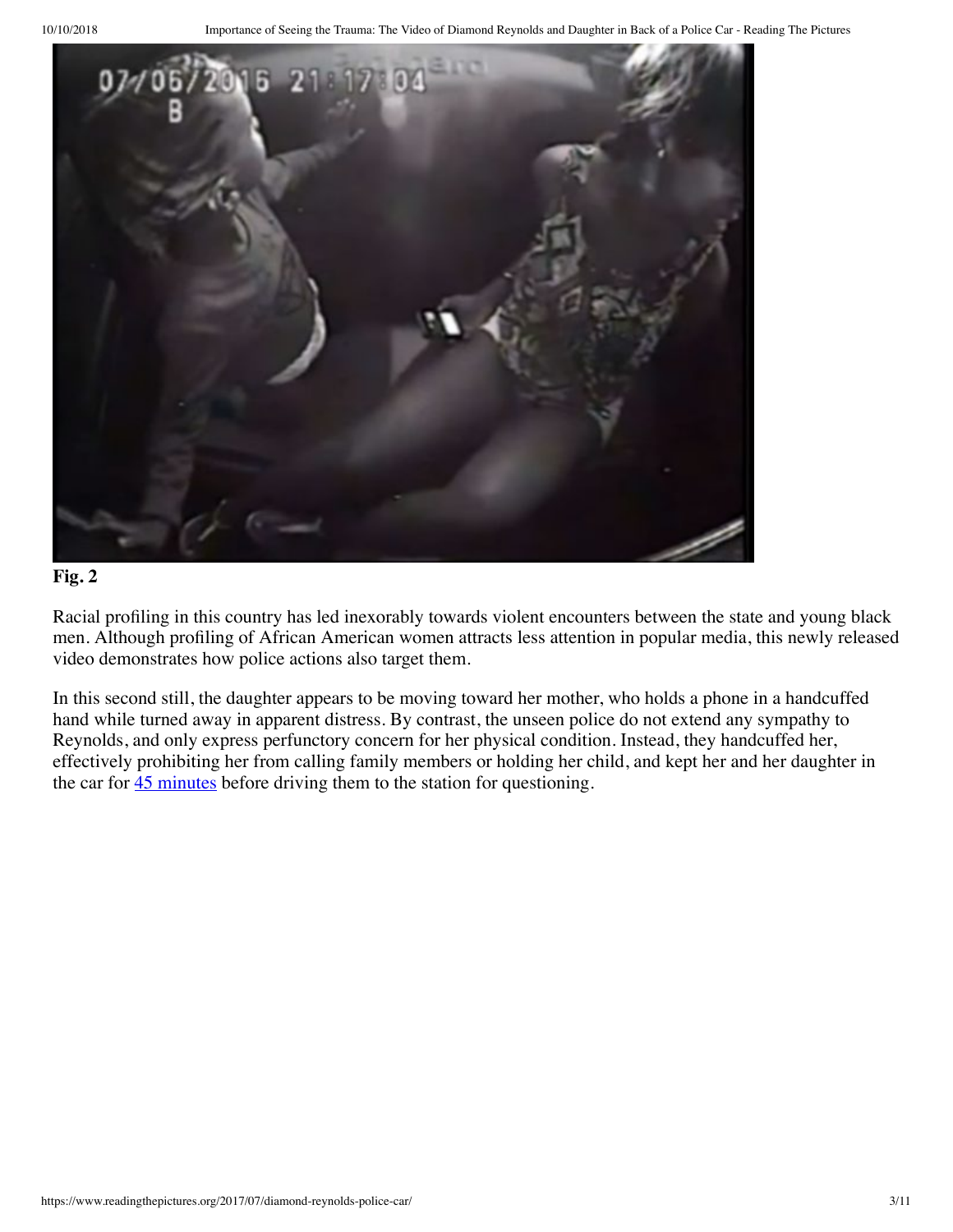

Racial profiling in this country has led inexorably towards violent encounters between the state and young black men. Although profiling of African American women attracts less attention in popular media, this newly released video demonstrates how police actions also target them.

In this second still, the daughter appears to be moving toward her mother, who holds a phone in a handcuffed hand while turned away in apparent distress. By contrast, the unseen police do not extend any sympathy to Reynolds, and only express perfunctory concern for her physical condition. Instead, they handcuffed her, effectively prohibiting her from calling family members or holding her child, and kept her and her daughter in the car for  $\frac{45 \text{ minutes}}{25}$  before driving them to the station for questioning.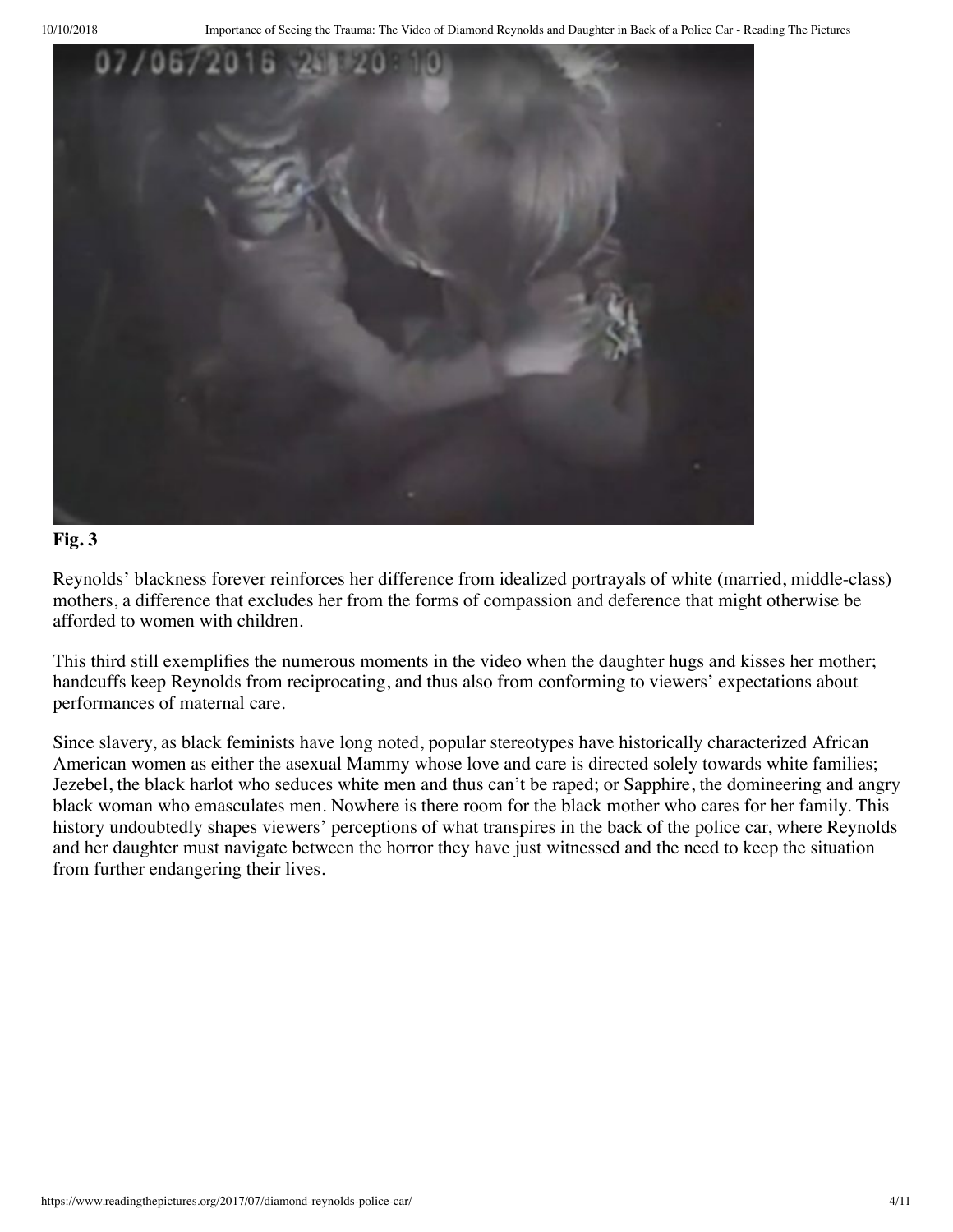

Reynolds' blackness forever reinforces her difference from idealized portrayals of white (married, middle-class) mothers, a difference that excludes her from the forms of compassion and deference that might otherwise be afforded to women with children.

This third still exemplifies the numerous moments in the video when the daughter hugs and kisses her mother; handcuffs keep Reynolds from reciprocating, and thus also from conforming to viewers' expectations about performances of maternal care.

Since slavery, as black feminists have long noted, popular stereotypes have historically characterized African American women as either the asexual Mammy whose love and care is directed solely towards white families; Jezebel, the black harlot who seduces white men and thus can't be raped; or Sapphire, the domineering and angry black woman who emasculates men. Nowhere is there room for the black mother who cares for her family. This history undoubtedly shapes viewers' perceptions of what transpires in the back of the police car, where Reynolds and her daughter must navigate between the horror they have just witnessed and the need to keep the situation from further endangering their lives.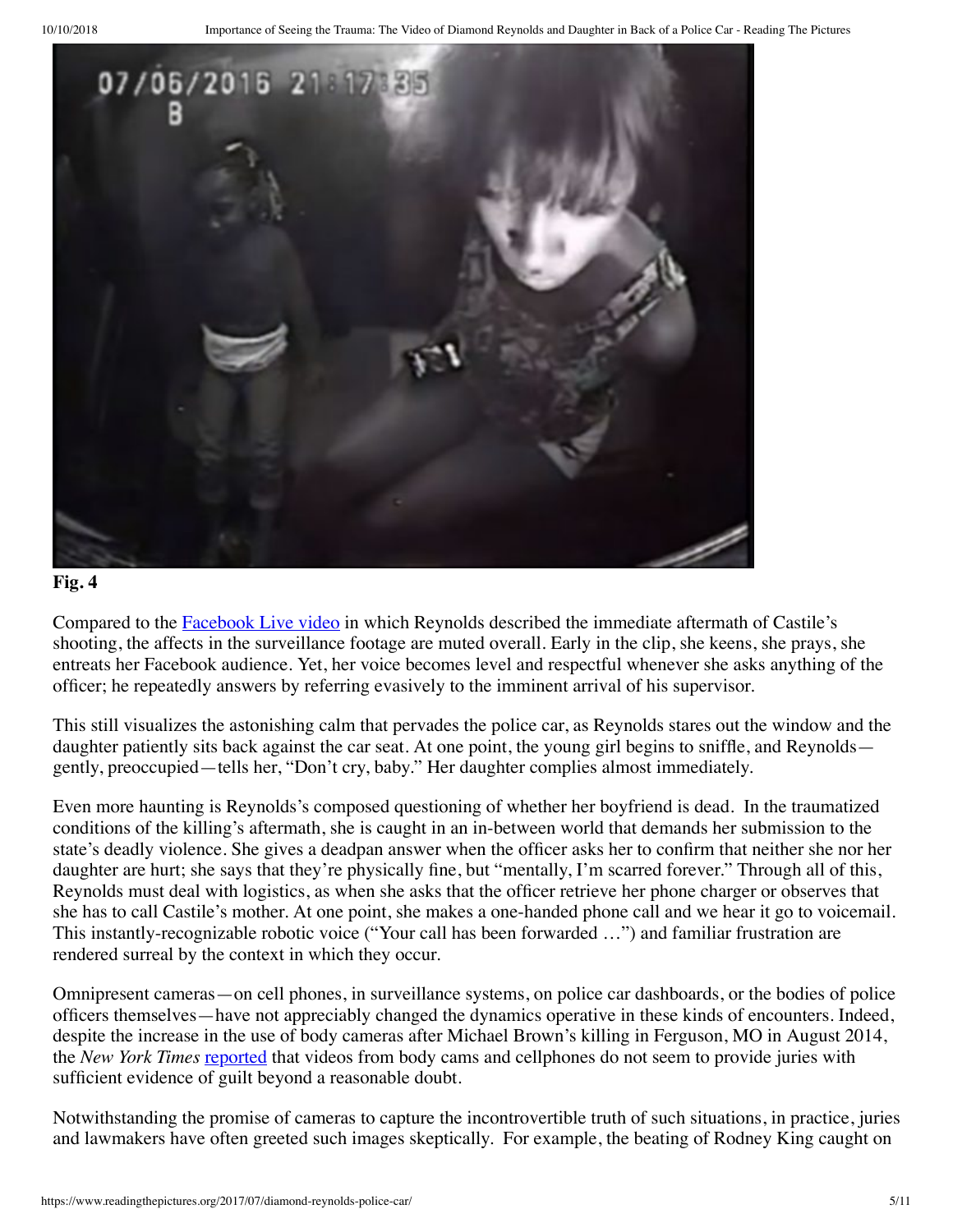

Compared to the **Facebook Live video** in which Reynolds described the immediate aftermath of Castile's shooting, the affects in the surveillance footage are muted overall. Early in the clip, she keens, she prays, she entreats her Facebook audience. Yet, her voice becomes level and respectful whenever she asks anything of the officer; he repeatedly answers by referring evasively to the imminent arrival of his supervisor.

This still visualizes the astonishing calm that pervades the police car, as Reynolds stares out the window and the daughter patiently sits back against the car seat. At one point, the young girl begins to sniffle, and Reynolds gently, preoccupied—tells her, "Don't cry, baby." Her daughter complies almost immediately.

Even more haunting is Reynolds's composed questioning of whether her boyfriend is dead. In the traumatized conditions of the killing's aftermath, she is caught in an in-between world that demands her submission to the state's deadly violence. She gives a deadpan answer when the officer asks her to confirm that neither she nor her daughter are hurt; she says that they're physically fine, but "mentally, I'm scarred forever." Through all of this, Reynolds must deal with logistics, as when she asks that the officer retrieve her phone charger or observes that she has to call Castile's mother. At one point, she makes a one-handed phone call and we hear it go to voicemail. This instantly-recognizable robotic voice ("Your call has been forwarded …") and familiar frustration are rendered surreal by the context in which they occur.

Omnipresent cameras—on cell phones, in surveillance systems, on police car dashboards, or the bodies of police officers themselves—have not appreciably changed the dynamics operative in these kinds of encounters. Indeed, despite the increase in the use of body cameras after Michael Brown's killing in Ferguson, MO in August 2014, the *New York Times* reported that videos from body cams and cellphones do not seem to provide juries with sufficient evidence of guilt beyond a reasonable doubt.

Notwithstanding the promise of cameras to capture the incontrovertible truth of such situations, in practice, juries and lawmakers have often greeted such images skeptically. For example, the beating of Rodney King caught on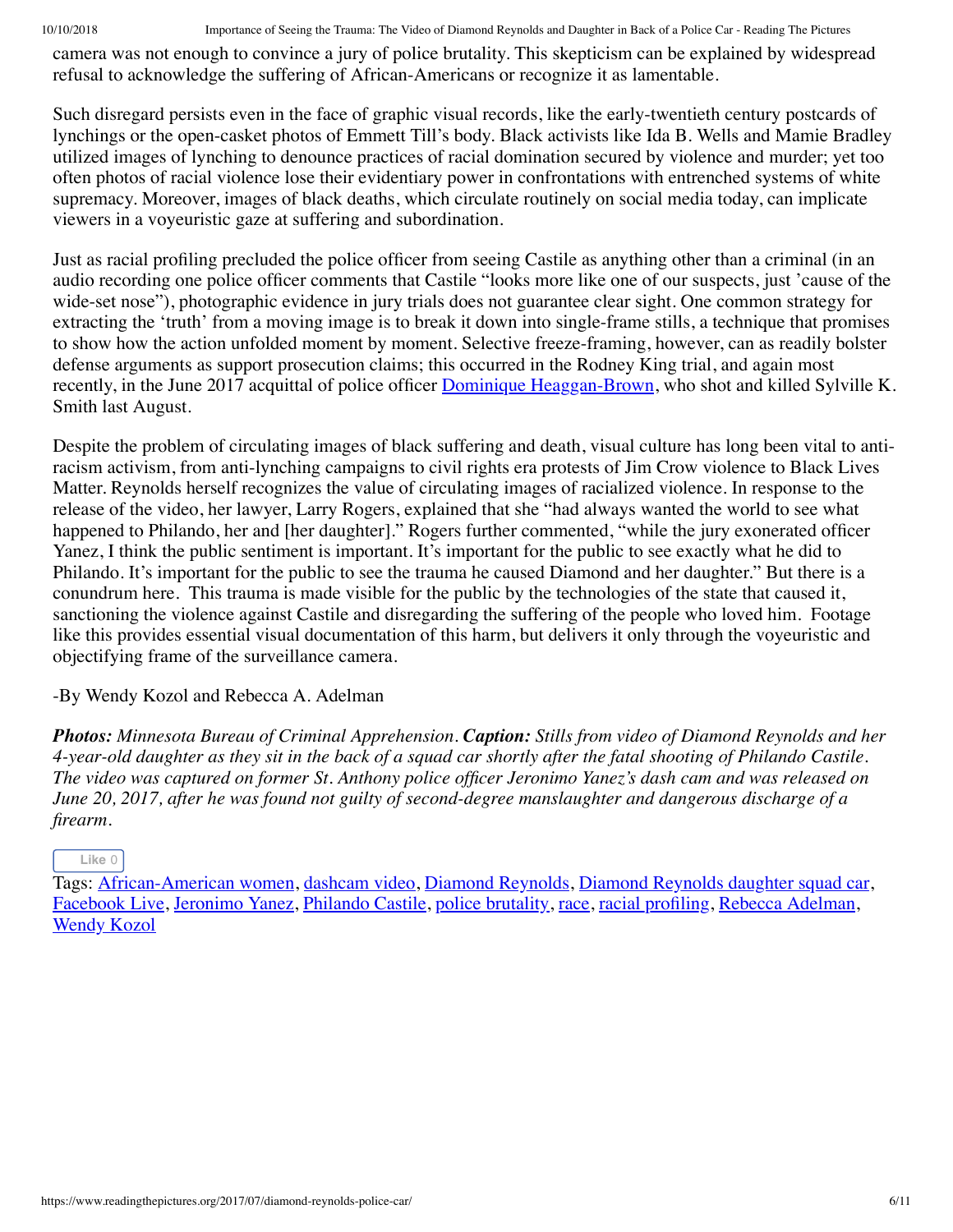10/10/2018 Importance of Seeing the Trauma: The Video of Diamond Reynolds and Daughter in Back of a Police Car - Reading The Pictures

camera was not enough to convince a jury of police brutality. This skepticism can be explained by widespread refusal to acknowledge the suffering of African-Americans or recognize it as lamentable.

Such disregard persists even in the face of graphic visual records, like the early-twentieth century postcards of lynchings or the open-casket photos of Emmett Till's body. Black activists like Ida B. Wells and Mamie Bradley utilized images of lynching to denounce practices of racial domination secured by violence and murder; yet too often photos of racial violence lose their evidentiary power in confrontations with entrenched systems of white supremacy. Moreover, images of black deaths, which circulate routinely on social media today, can implicate viewers in a voyeuristic gaze at suffering and subordination.

Just as racial profiling precluded the police officer from seeing Castile as anything other than a criminal (in an audio recording one police officer comments that Castile "looks more like one of our suspects, just 'cause of the wide-set nose"), photographic evidence in jury trials does not guarantee clear sight. One common strategy for extracting the 'truth' from a moving image is to break it down into single-frame stills, a technique that promises to show how the action unfolded moment by moment. Selective freeze-framing, however, can as readily bolster defense arguments as support prosecution claims; this occurred in the Rodney King trial, and again most recently, in the June 2017 acquittal of police officer Dominique Heaggan-Brown, who shot and killed Sylville K. Smith last August.

Despite the problem of circulating images of black suffering and death, visual culture has long been vital to antiracism activism, from anti-lynching campaigns to civil rights era protests of Jim Crow violence to Black Lives Matter. Reynolds herself recognizes the value of circulating images of racialized violence. In response to the release of the video, her lawyer, Larry Rogers, explained that she "had always wanted the world to see what happened to Philando, her and [her daughter]." Rogers further commented, "while the jury exonerated officer Yanez, I think the public sentiment is important. It's important for the public to see exactly what he did to Philando. It's important for the public to see the trauma he caused Diamond and her daughter." But there is a conundrum here. This trauma is made visible for the public by the technologies of the state that caused it, sanctioning the violence against Castile and disregarding the suffering of the people who loved him. Footage like this provides essential visual documentation of this harm, but delivers it only through the voyeuristic and objectifying frame of the surveillance camera.

-By Wendy Kozol and Rebecca A. Adelman

*Photos: Minnesota Bureau of Criminal Apprehension. Caption: Stills from video of Diamond Reynolds and her 4-year-old daughter as they sit in the back of a squad car shortly after the fatal shooting of Philando Castile. The video was captured on former St. Anthony police officer Jeronimo Yanez's dash cam and was released on June 20, 2017, after he was found not guilty of second-degree manslaughter and dangerous discharge of a firearm.*

#### **Like** 0

Tags: African-American women, dashcam video, Diamond Reynolds, Diamond Reynolds daughter squad car, Facebook Live, Jeronimo Yanez, Philando Castile, police brutality, race, racial profiling, Rebecca Adelman, Wendy Kozol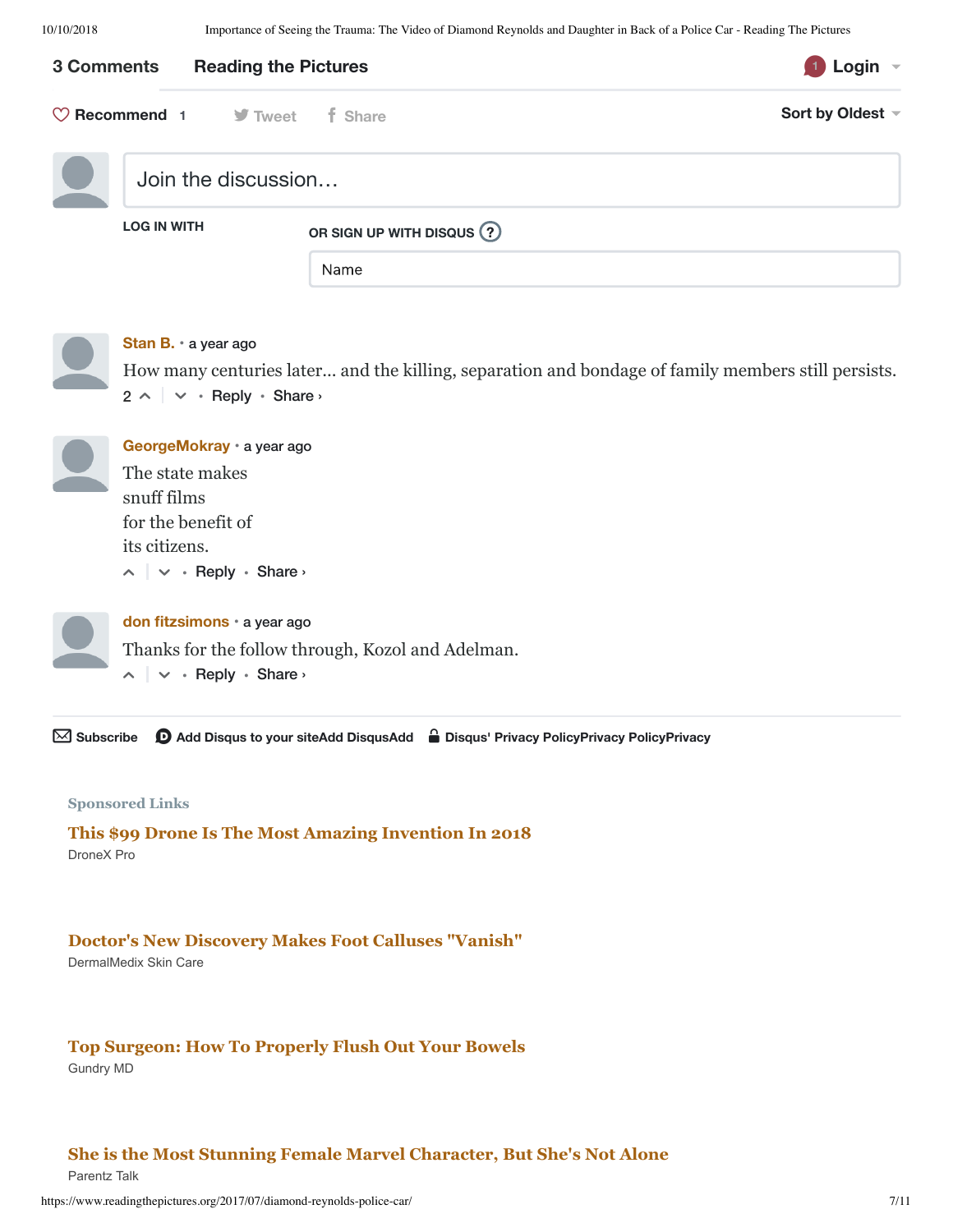10/10/2018 Importance of Seeing the Trauma: The Video of Diamond Reynolds and Daughter in Back of a Police Car - Reading The Pictures

|                       | 3 Comments<br><b>Reading the Pictures</b>                                                                                               |                          |                                                                                                    | Login $\sim$     |
|-----------------------|-----------------------------------------------------------------------------------------------------------------------------------------|--------------------------|----------------------------------------------------------------------------------------------------|------------------|
|                       | $\heartsuit$ Recommend 1 $\heartsuit$ Tweet                                                                                             | f Share                  |                                                                                                    | Sort by Oldest ~ |
|                       | Join the discussion                                                                                                                     |                          |                                                                                                    |                  |
|                       | <b>LOG IN WITH</b>                                                                                                                      | OR SIGN UP WITH DISQUS ? |                                                                                                    |                  |
|                       |                                                                                                                                         | Name                     |                                                                                                    |                  |
|                       | Stan B. · a year ago<br>$2 \wedge \vert \vee \cdot$ Reply $\cdot$ Share $\vee$                                                          |                          | How many centuries later and the killing, separation and bondage of family members still persists. |                  |
|                       | GeorgeMokray · a year ago<br>The state makes<br>snuff films<br>for the benefit of<br>its citizens.<br>$\wedge$ $\vee$ · Reply · Share › |                          |                                                                                                    |                  |
|                       | don fitzsimons · a year ago<br>Thanks for the follow through, Kozol and Adelman.<br>$\wedge$ $\vee$ . Reply · Share ›                   |                          |                                                                                                    |                  |
| $\boxtimes$ Subscribe |                                                                                                                                         |                          | <b>①</b> Add Disqus to your siteAdd DisqusAdd △ Disqus' Privacy PolicyPrivacy PolicyPrivacy        |                  |

#### **Sponsored Links**

DroneX Pro **This \$99 Drone Is The Most Amazing Invention In 2018**

#### **Doctor's New Discovery Makes Foot Calluses "Vanish"**

DermalMedix Skin Care

#### **Top Surgeon: How To Properly Flush Out Your Bowels**

Gundry MD

#### **She is the Most Stunning Female Marvel Character, But She's Not Alone**

Parentz Talk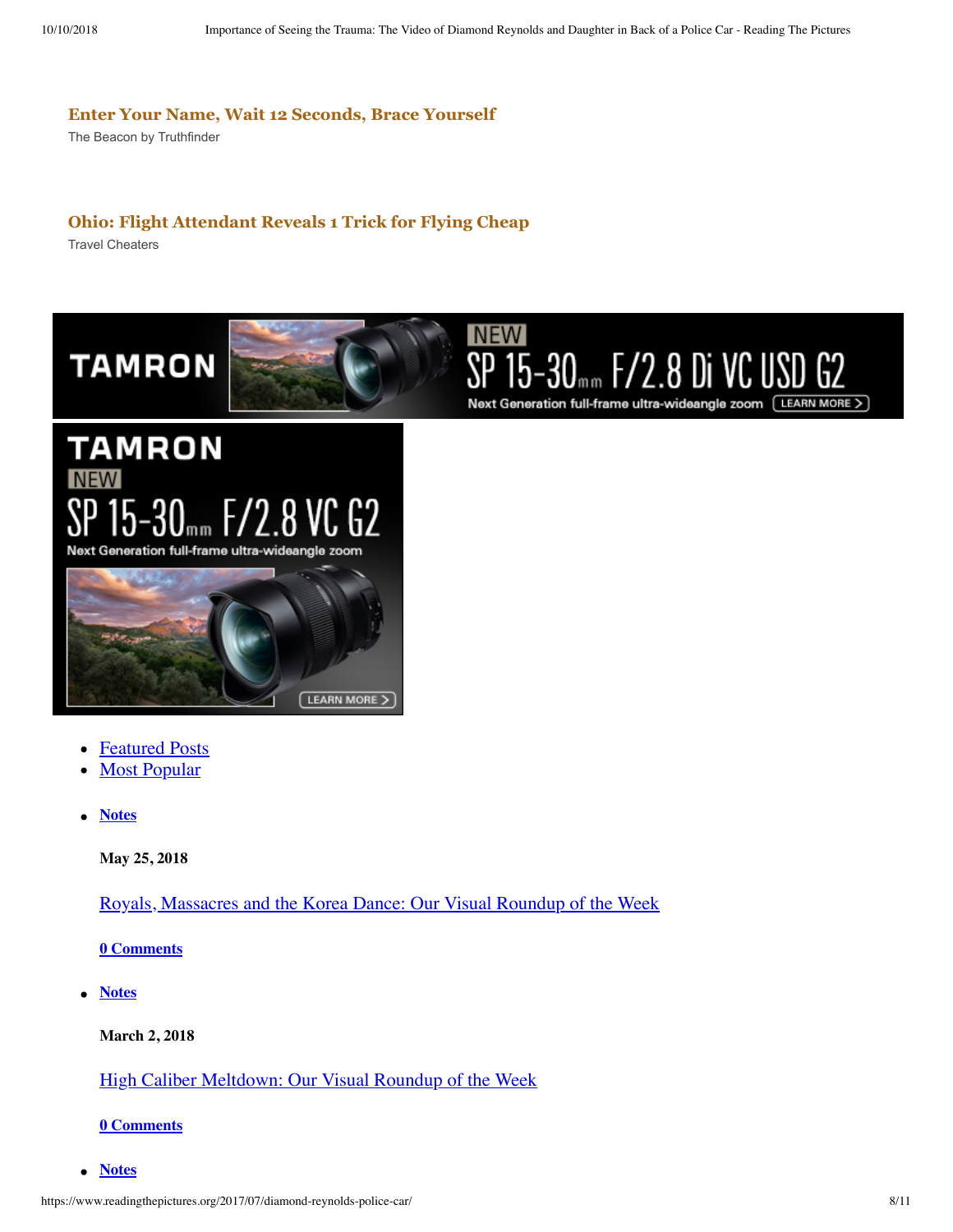#### **Enter Your Name, Wait 12 Seconds, Brace Yourself**

The Beacon by Truthfinder

#### **Ohio: Flight Attendant Reveals 1 Trick for Flying Cheap**

Travel Cheaters



## **TAMRON NEW**  $5 - 30$ <sub>mm</sub>  $F/2.8$  VC G2 Next Generation full-frame ultra-wideangle zoom



- Featured Posts
- **Most Popular**
- **Notes**

**May 25, 2018**

Royals, Massacres and the Korea Dance: Our Visual Roundup of the Week

**0 Comments**

**Notes**

**March 2, 2018**

High Caliber Meltdown: Our Visual Roundup of the Week

**0 Comments**

**Notes**  $\bullet$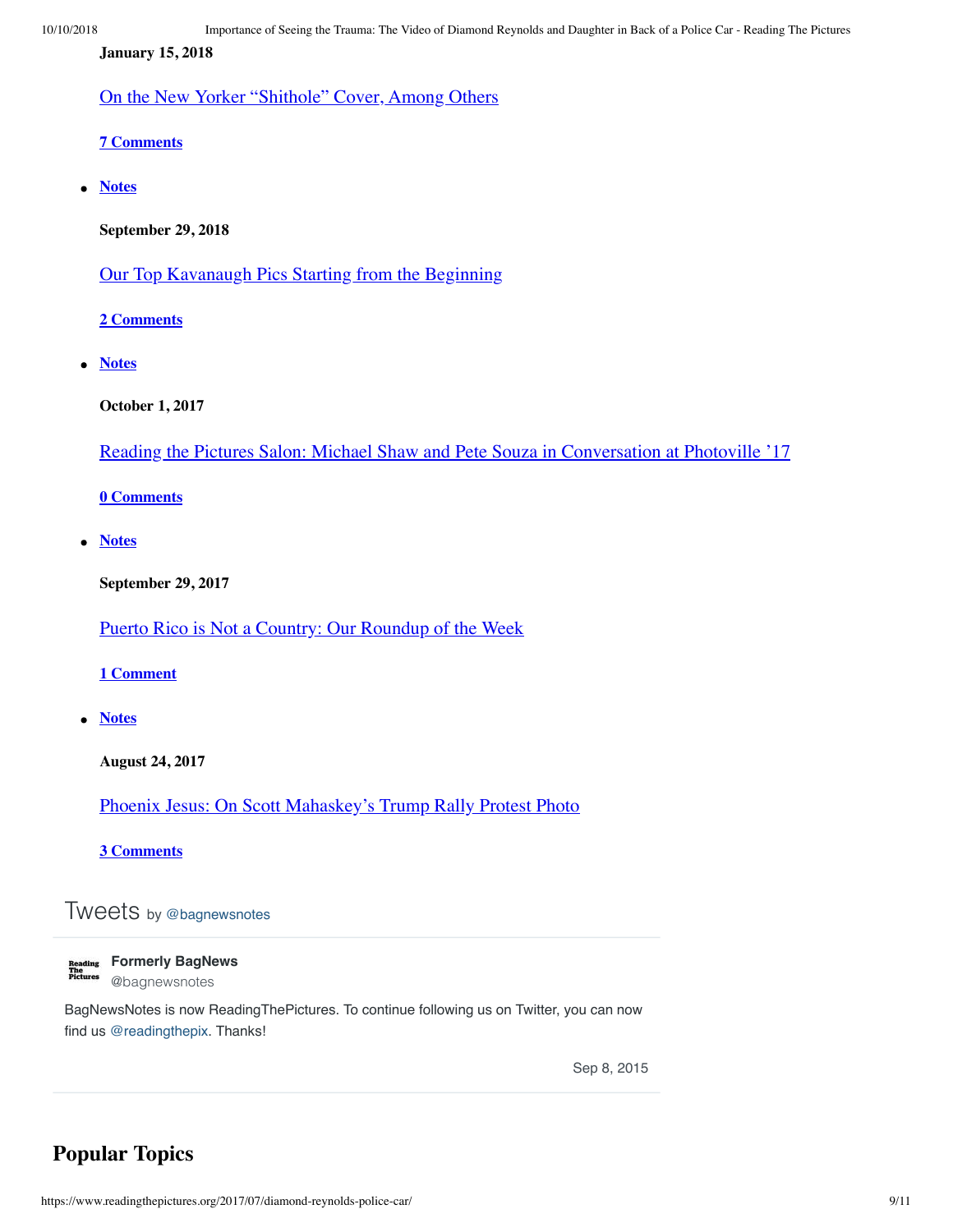**January 15, 2018**

On the New Yorker "Shithole" Cover, Among Others

**7 Comments**

**Notes**  $\bullet$ 

**September 29, 2018**

Our Top Kavanaugh Pics Starting from the Beginning

**2 Comments**

**Notes**

**October 1, 2017**

Reading the Pictures Salon: Michael Shaw and Pete Souza in Conversation at Photoville '17

**0 Comments**

 $\bullet$ **Notes**

**September 29, 2017**

Puerto Rico is Not a Country: Our Roundup of the Week

#### **1 Comment**

**Notes**

**August 24, 2017**

Phoenix Jesus: On Scott Mahaskey's Trump Rally Protest Photo

**3 Comments**

## Tweets by @bagnewsnotes

| в |         |  |
|---|---------|--|
|   | ading   |  |
|   |         |  |
|   | Picture |  |

**Formerly BagNews** @bagnewsnotes

BagNewsNotes is now ReadingThePictures. To continue following us on Twitter, you can now find us @readingthepix. Thanks!

Sep 8, 2015

## **Popular Topics**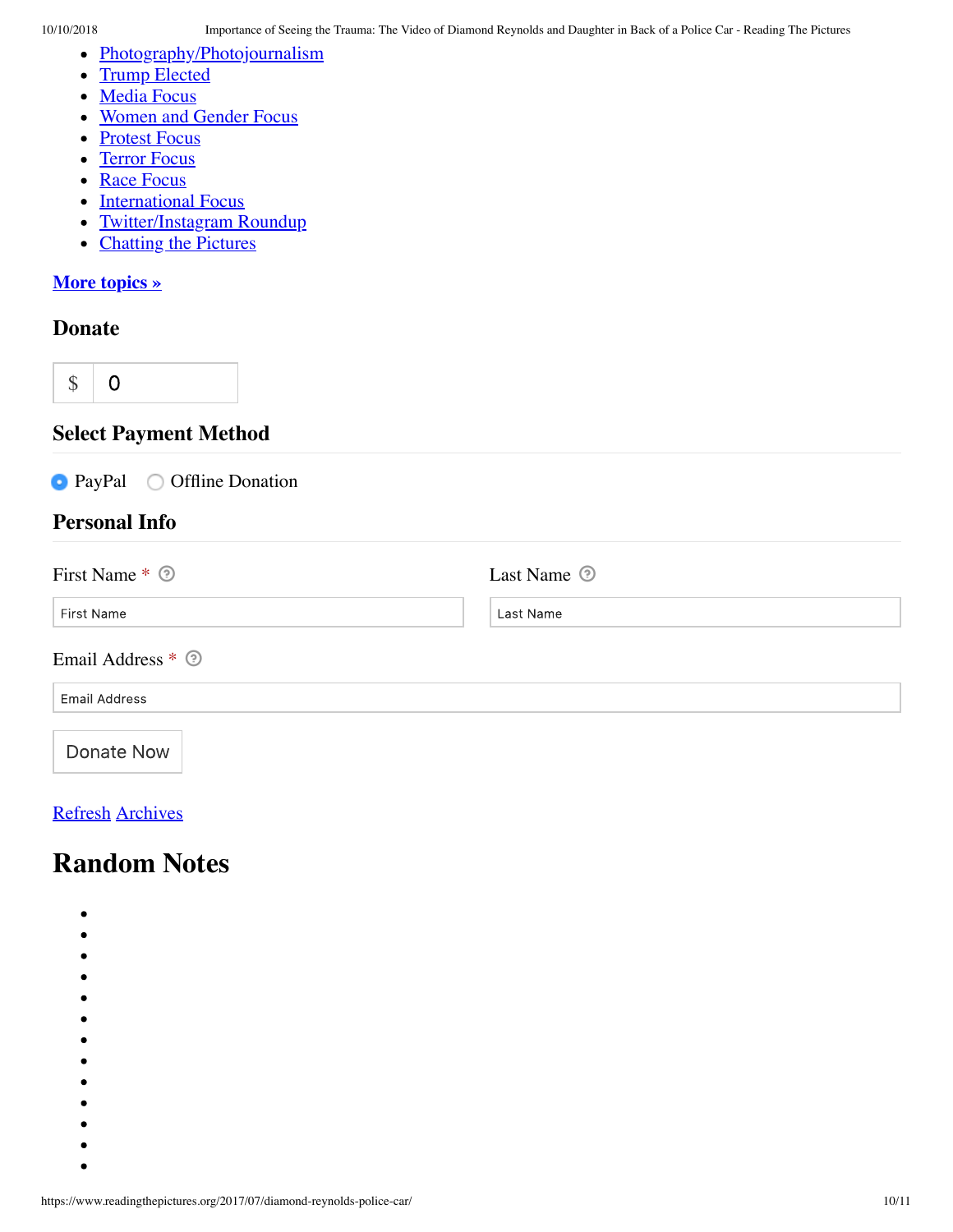- Photography/Photojournalism  $\bullet$
- Trump Elected  $\bullet$
- Media Focus
- Women and Gender Focus
- Protest Focus  $\bullet$
- Terror Focus  $\bullet$
- Race Focus  $\bullet$
- International Focus
- Twitter/Instagram Roundup  $\bullet$
- Chatting the Pictures  $\bullet$

#### **More topics »**

### **Donate**

\$  $\mathbf 0$ 

## **Select Payment Method**

|                      | $\bullet$ PayPal $\circ$ Offline Donation |  |  |
|----------------------|-------------------------------------------|--|--|
| <b>Personal Info</b> |                                           |  |  |
|                      |                                           |  |  |

| First Name * 2       | Last Name <sup>o</sup> |  |
|----------------------|------------------------|--|
| First Name           | Last Name              |  |
| Email Address * 2    |                        |  |
| <b>Email Address</b> |                        |  |
| Donate Now           |                        |  |

### Refresh Archives

## **Random Notes**

- $\bullet$
- $\bullet$
- 
- 
- 
- 
- 
- 
- 
- 
- 
- $\bullet$
- $\bullet$